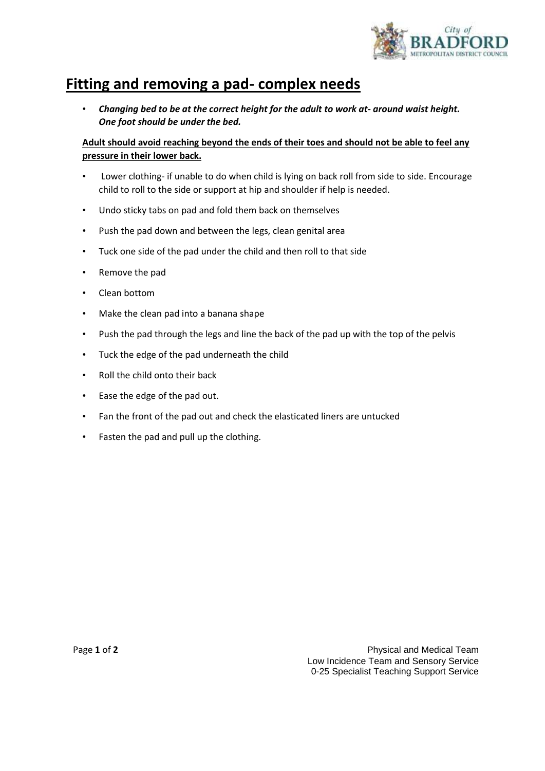

## **Fitting and removing a pad- complex needs**

• *Changing bed to be at the correct height for the adult to work at- around waist height. One foot should be under the bed.* 

## **Adult should avoid reaching beyond the ends of their toes and should not be able to feel any pressure in their lower back.**

- Lower clothing- if unable to do when child is lying on back roll from side to side. Encourage child to roll to the side or support at hip and shoulder if help is needed.
- Undo sticky tabs on pad and fold them back on themselves
- Push the pad down and between the legs, clean genital area
- Tuck one side of the pad under the child and then roll to that side
- Remove the pad
- Clean bottom
- Make the clean pad into a banana shape
- Push the pad through the legs and line the back of the pad up with the top of the pelvis
- Tuck the edge of the pad underneath the child
- Roll the child onto their back
- Ease the edge of the pad out.
- Fan the front of the pad out and check the elasticated liners are untucked
- Fasten the pad and pull up the clothing.